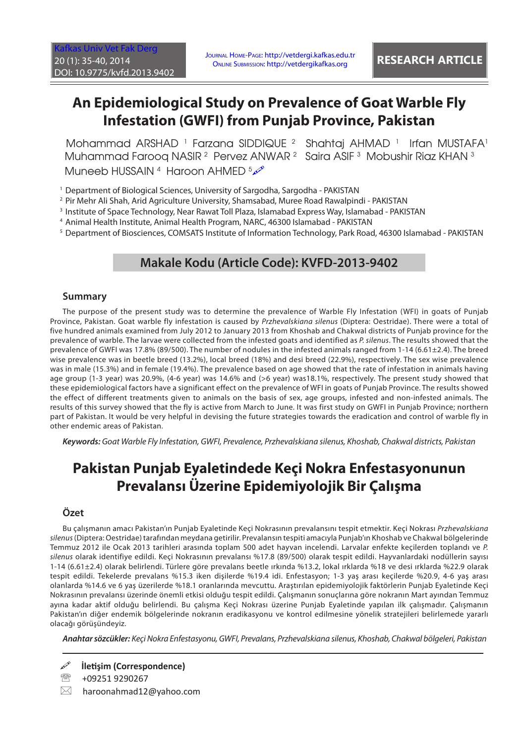# **An Epidemiological Study on Prevalence of Goat Warble Fly Infestation (GWFI) from Punjab Province, Pakistan**

Mohammad ARSHAD <sup>1</sup> Farzana SIDDIQUE <sup>2</sup> Shahtaj AHMAD <sup>1</sup> Irfan MUSTAFA<sup>1</sup> Muhammad Farooq NASIR <sup>2</sup> Pervez ANWAR <sup>2</sup> Saira ASIF <sup>3</sup> Mobushir Riaz KHAN <sup>3</sup> Muneeb HUSSAIN 4 Haroon AHMED 5

<sup>1</sup> Department of Biological Sciences, University of Sargodha, Sargodha - PAKISTAN

2 Pir Mehr Ali Shah, Arid Agriculture University, Shamsabad, Muree Road Rawalpindi - PAKISTAN

3 Institute of Space Technology, Near Rawat Toll Plaza, Islamabad Express Way, Islamabad - PAKISTAN

4 Animal Health Institute, Animal Health Program, NARC, 46300 Islamabad - PAKISTAN

5 Department of Biosciences, COMSATS Institute of Information Technology, Park Road, 46300 Islamabad - PAKISTAN

# **Makale Kodu (Article Code): KVFD-2013-9402**

### **Summary**

The purpose of the present study was to determine the prevalence of Warble Fly Infestation (WFI) in goats of Punjab Province, Pakistan. Goat warble fly infestation is caused by *Przhevalskiana silenus* (Diptera: Oestridae). There were a total of five hundred animals examined from July 2012 to January 2013 from Khoshab and Chakwal districts of Punjab province for the prevalence of warble. The larvae were collected from the infested goats and identified as *P. silenus*. The results showed that the prevalence of GWFI was 17.8% (89/500). The number of nodules in the infested animals ranged from 1-14 (6.61±2.4). The breed wise prevalence was in beetle breed (13.2%), local breed (18%) and desi breed (22.9%), respectively. The sex wise prevalence was in male (15.3%) and in female (19.4%). The prevalence based on age showed that the rate of infestation in animals having age group (1-3 year) was 20.9%, (4-6 year) was 14.6% and (>6 year) was18.1%, respectively. The present study showed that these epidemiological factors have a significant effect on the prevalence of WFI in goats of Punjab Province. The results showed the effect of different treatments given to animals on the basis of sex, age groups, infested and non-infested animals. The results of this survey showed that the fly is active from March to June. It was first study on GWFI in Punjab Province; northern part of Pakistan. It would be very helpful in devising the future strategies towards the eradication and control of warble fly in other endemic areas of Pakistan.

*Keywords: Goat Warble Fly Infestation, GWFI, Prevalence, Przhevalskiana silenus, Khoshab, Chakwal districts, Pakistan*

# **Pakistan Punjab Eyaletindede Keçi Nokra Enfestasyonunun Prevalansı Üzerine Epidemiyolojik Bir Çalışma**

## **Özet**

Bu çalışmanın amacı Pakistan'ın Punjab Eyaletinde Keçi Nokrasının prevalansını tespit etmektir. Keçi Nokrası *Przhevalskiana silenus* (Diptera: Oestridae) tarafından meydana getirilir. Prevalansın tespiti amacıyla Punjab'ın Khoshab ve Chakwal bölgelerinde Temmuz 2012 ile Ocak 2013 tarihleri arasında toplam 500 adet hayvan incelendi. Larvalar enfekte keçilerden toplandı ve *P. silenus* olarak identifiye edildi. Keçi Nokrasının prevalansı %17.8 (89/500) olarak tespit edildi. Hayvanlardaki nodüllerin sayısı 1-14 (6.61±2.4) olarak belirlendi. Türlere göre prevalans beetle ırkında %13.2, lokal ırklarda %18 ve desi ırklarda %22.9 olarak tespit edildi. Tekelerde prevalans %15.3 iken dişilerde %19.4 idi. Enfestasyon; 1-3 yaş arası keçilerde %20.9, 4-6 yaş arası olanlarda %14.6 ve 6 yaş üzerilerde %18.1 oranlarında mevcuttu. Araştırılan epidemiyolojik faktörlerin Punjab Eyaletinde Keçi Nokrasının prevalansı üzerinde önemli etkisi olduğu tespit edildi. Çalışmanın sonuçlarına göre nokranın Mart ayından Temmuz ayına kadar aktif olduğu belirlendi. Bu çalışma Keçi Nokrası üzerine Punjab Eyaletinde yapılan ilk çalışmadır. Çalışmanın Pakistan'ın diğer endemik bölgelerinde nokranın eradikasyonu ve kontrol edilmesine yönelik stratejileri belirlemede yararlı olacağı görüşündeyiz.

*Anahtar sözcükler: Keçi Nokra Enfestasyonu, GWFI, Prevalans, Przhevalskiana silenus, Khoshab, Chakwal bölgeleri, Pakistan*

**İletişim (Correspondence)**

<sup>2</sup>/<sub>20</sub> +09251 9290267

 $\boxtimes$  haroonahmad12@yahoo.com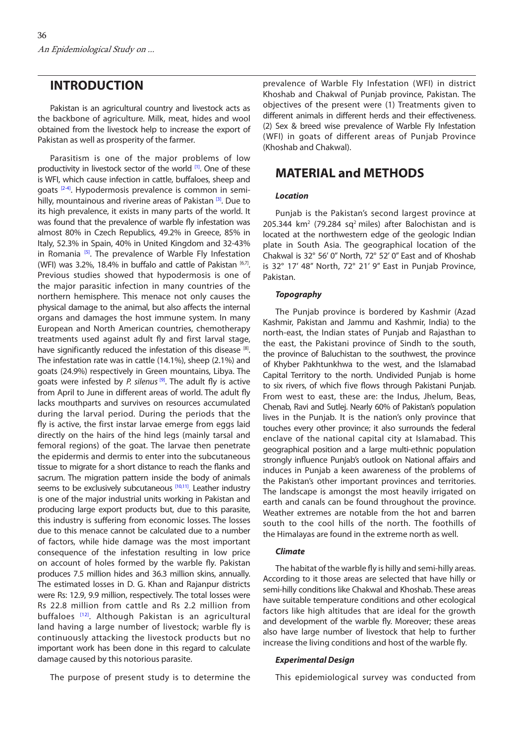## **INTRODUCTION**

Pakistan is an agricultural country and livestock acts as the backbone of agriculture. Milk, meat, hides and wool obtained from the livestock help to increase the export of Pakistan as well as prosperity of the farmer.

Parasitism is one of the major problems of low productivity in livestock sector of the world [1]. One of these is WFI, which cause infection in cattle, buffaloes, sheep and goats [2-4]. Hypodermosis prevalence is common in semihilly, mountainous and riverine areas of Pakistan [3]. Due to its high prevalence, it exists in many parts of the world. It was found that the prevalence of warble fly infestation was almost 80% in Czech Republics, 49.2% in Greece, 85% in Italy, 52.3% in Spain, 40% in United Kingdom and 32-43% in Romania [5]. The prevalence of Warble Fly Infestation (WFI) was 3.2%, 18.4% in buffalo and cattle of Pakistan  $[6,7]$ . Previous studies showed that hypodermosis is one of the major parasitic infection in many countries of the northern hemisphere. This menace not only causes the physical damage to the animal, but also affects the internal organs and damages the host immune system. In many European and North American countries, chemotherapy treatments used against adult fly and first larval stage, have significantly reduced the infestation of this disease [8]. The infestation rate was in cattle (14.1%), sheep (2.1%) and goats (24.9%) respectively in Green mountains, Libya. The goats were infested by *P. silenus* [9]. The adult fly is active from April to June in different areas of world. The adult fly lacks mouthparts and survives on resources accumulated during the larval period. During the periods that the fly is active, the first instar larvae emerge from eggs laid directly on the hairs of the hind legs (mainly tarsal and femoral regions) of the goat. The larvae then penetrate the epidermis and dermis to enter into the subcutaneous tissue to migrate for a short distance to reach the flanks and sacrum. The migration pattern inside the body of animals seems to be exclusively subcutaneous [10,11]. Leather industry is one of the major industrial units working in Pakistan and producing large export products but, due to this parasite, this industry is suffering from economic losses. The losses due to this menace cannot be calculated due to a number of factors, while hide damage was the most important consequence of the infestation resulting in low price on account of holes formed by the warble fly. Pakistan produces 7.5 million hides and 36.3 million skins, annually. The estimated losses in D. G. Khan and Rajanpur districts were Rs: 12.9, 9.9 million, respectively. The total losses were Rs 22.8 million from cattle and Rs 2.2 million from buffaloes [12]. Although Pakistan is an agricultural land having a large number of livestock; warble fly is continuously attacking the livestock products but no important work has been done in this regard to calculate damage caused by this notorious parasite.

The purpose of present study is to determine the

prevalence of Warble Fly Infestation (WFI) in district Khoshab and Chakwal of Punjab province, Pakistan. The objectives of the present were (1) Treatments given to different animals in different herds and their effectiveness. (2) Sex & breed wise prevalence of Warble Fly Infestation (WFI) in goats of different areas of Punjab Province (Khoshab and Chakwal).

## **MATERIAL and METHODS**

#### *Location*

Punjab is the Pakistan's second largest province at 205.344  $km^2$  (79.284 sq<sup>2</sup> miles) after Balochistan and is located at the northwestern edge of the geologic Indian plate in South Asia. The geographical location of the Chakwal is 32° 56' 0" North, 72° 52' 0" East and of Khoshab is 32° 17' 48" North, 72° 21' 9" East in Punjab Province, Pakistan.

#### *Topography*

The Punjab province is bordered by Kashmir (Azad Kashmir, Pakistan and Jammu and Kashmir, India) to the north-east, the Indian states of Punjab and Rajasthan to the east, the Pakistani province of Sindh to the south, the province of Baluchistan to the southwest, the province of Khyber Pakhtunkhwa to the west, and the Islamabad Capital Territory to the north. Undivided Punjab is home to six rivers, of which five flows through Pakistani Punjab. From west to east, these are: the Indus, Jhelum, Beas, Chenab, Ravi and Sutlej. Nearly 60% of Pakistan's population lives in the Punjab. It is the nation's only province that touches every other province; it also surrounds the federal enclave of the national capital city at Islamabad. This geographical position and a large multi-ethnic population strongly influence Punjab's outlook on National affairs and induces in Punjab a keen awareness of the problems of the Pakistan's other important provinces and territories. The landscape is amongst the most heavily irrigated on earth and canals can be found throughout the province. Weather extremes are notable from the hot and barren south to the cool hills of the north. The foothills of the Himalayas are found in the extreme north as well.

#### *Climate*

The habitat of the warble fly is hilly and semi-hilly areas. According to it those areas are selected that have hilly or semi-hilly conditions like Chakwal and Khoshab. These areas have suitable temperature conditions and other ecological factors like high altitudes that are ideal for the growth and development of the warble fly. Moreover; these areas also have large number of livestock that help to further increase the living conditions and host of the warble fly.

#### *Experimental Design*

This epidemiological survey was conducted from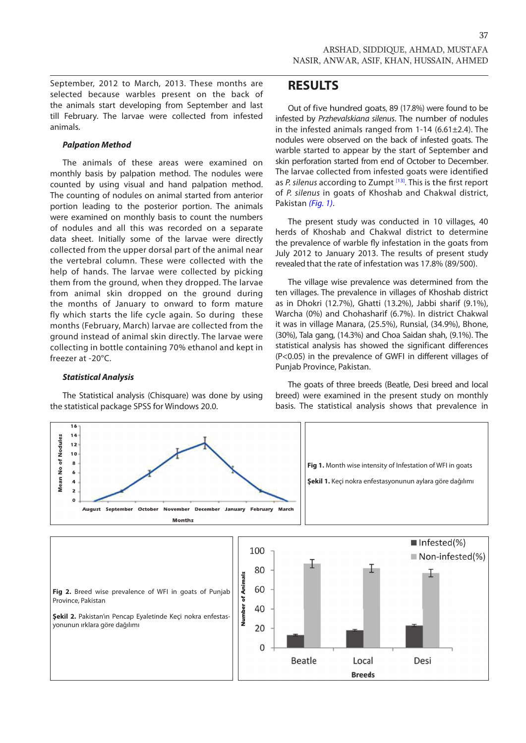37

September, 2012 to March, 2013. These months are selected because warbles present on the back of the animals start developing from September and last till February. The larvae were collected from infested animals.

#### *Palpation Method*

The animals of these areas were examined on monthly basis by palpation method. The nodules were counted by using visual and hand palpation method. The counting of nodules on animal started from anterior portion leading to the posterior portion. The animals were examined on monthly basis to count the numbers of nodules and all this was recorded on a separate data sheet. Initially some of the larvae were directly collected from the upper dorsal part of the animal near the vertebral column. These were collected with the help of hands. The larvae were collected by picking them from the ground, when they dropped. The larvae from animal skin dropped on the ground during the months of January to onward to form mature fly which starts the life cycle again. So during these months (February, March) larvae are collected from the ground instead of animal skin directly. The larvae were collecting in bottle containing 70% ethanol and kept in freezer at -20°C.

#### *Statistical Analysis*

of Nodules

The Statistical analysis (Chisquare) was done by using the statistical package SPSS for Windows 20.0.

## **RESULTS**

Out of five hundred goats, 89 (17.8%) were found to be infested by *Przhevalskiana silenus*. The number of nodules in the infested animals ranged from 1-14 (6.61±2.4). The nodules were observed on the back of infested goats. The warble started to appear by the start of September and skin perforation started from end of October to December. The larvae collected from infested goats were identified as *P. silenus* according to Zumpt<sup>[13]</sup>. This is the first report of *P. silenus* in goats of Khoshab and Chakwal district, Pakistan *(Fig. 1)*.

The present study was conducted in 10 villages, 40 herds of Khoshab and Chakwal district to determine the prevalence of warble fly infestation in the goats from July 2012 to January 2013. The results of present study revealed that the rate of infestation was 17.8% (89/500).

The village wise prevalence was determined from the ten villages. The prevalence in villages of Khoshab district as in Dhokri (12.7%), Ghatti (13.2%), Jabbi sharif (9.1%), Warcha (0%) and Chohasharif (6.7%). In district Chakwal it was in village Manara, (25.5%), Runsial, (34.9%), Bhone, (30%), Tala gang, (14.3%) and Choa Saidan shah, (9.1%). The statistical analysis has showed the significant differences (P<0.05) in the prevalence of GWFI in different villages of Punjab Province, Pakistan.

The goats of three breeds (Beatle, Desi breed and local breed) were examined in the present study on monthly basis. The statistical analysis shows that prevalence in

**Fig 1.** Month wise intensity of Infestation of WFI in goats

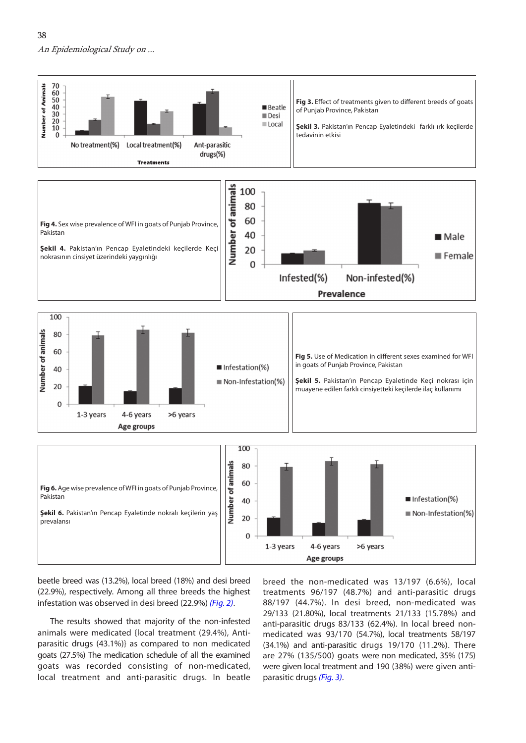

beetle breed was (13.2%), local breed (18%) and desi breed (22.9%), respectively. Among all three breeds the highest infestation was observed in desi breed (22.9%) *(Fig. 2)*.

The results showed that majority of the non-infested animals were medicated {local treatment (29.4%), Antiparasitic drugs (43.1%)} as compared to non medicated goats (27.5%) The medication schedule of all the examined goats was recorded consisting of non-medicated, local treatment and anti-parasitic drugs. In beatle

breed the non-medicated was 13/197 (6.6%), local treatments 96/197 (48.7%) and anti-parasitic drugs 88/197 (44.7%). In desi breed, non-medicated was 29/133 (21.80%), local treatments 21/133 (15.78%) and anti-parasitic drugs 83/133 (62.4%). In local breed nonmedicated was 93/170 (54.7%), local treatments 58/197 (34.1%) and anti-parasitic drugs 19/170 (11.2%). There are 27% (135/500) goats were non medicated, 35% (175) were given local treatment and 190 (38%) were given antiparasitic drugs *(Fig. 3)*.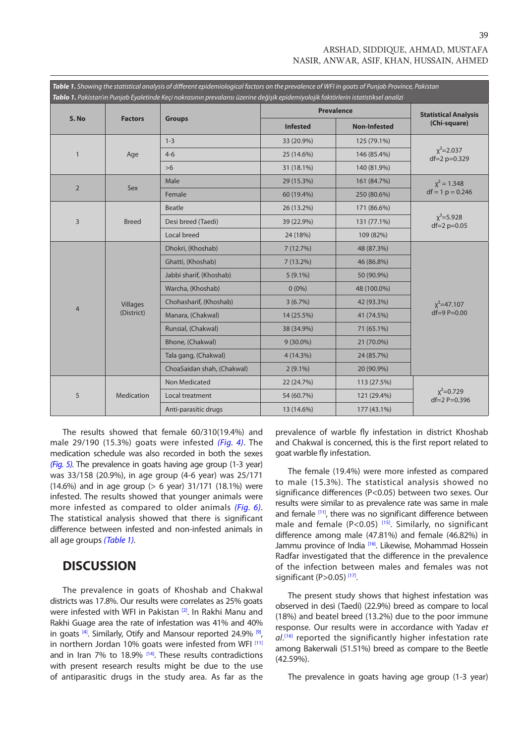| Table 1. Showing the statistical analysis of different epidemiological factors on the prevalence of WFI in goats of Punjab Province, Pakistan<br>Tablo 1. Pakistan'ın Punjab Eyaletinde Keçi nokrasının prevalansı üzerine değişik epidemiyolojik faktörlerin istatistiksel analizi |                        |                            |                   |                     |                                     |
|-------------------------------------------------------------------------------------------------------------------------------------------------------------------------------------------------------------------------------------------------------------------------------------|------------------------|----------------------------|-------------------|---------------------|-------------------------------------|
| S. No                                                                                                                                                                                                                                                                               | <b>Factors</b>         | <b>Groups</b>              | <b>Prevalence</b> |                     | <b>Statistical Analysis</b>         |
|                                                                                                                                                                                                                                                                                     |                        |                            | <b>Infested</b>   | <b>Non-Infested</b> | (Chi-square)                        |
| $\mathbf{1}$                                                                                                                                                                                                                                                                        | Age                    | $1 - 3$                    | 33 (20.9%)        | 125 (79.1%)         | $x^2$ =2.037<br>$df=2 p=0.329$      |
|                                                                                                                                                                                                                                                                                     |                        | $4 - 6$                    | 25 (14.6%)        | 146 (85.4%)         |                                     |
|                                                                                                                                                                                                                                                                                     |                        | $>6$                       | 31 (18.1%)        | 140 (81.9%)         |                                     |
| $\overline{2}$                                                                                                                                                                                                                                                                      | Sex                    | Male                       | 29 (15.3%)        | 161 (84.7%)         | $x^2 = 1.348$<br>$df = 1 p = 0.246$ |
|                                                                                                                                                                                                                                                                                     |                        | Female                     | 60 (19.4%)        | 250 (80.6%)         |                                     |
| 3                                                                                                                                                                                                                                                                                   | <b>Breed</b>           | <b>Beatle</b>              | 26 (13.2%)        | 171 (86.6%)         | $x^2 = 5.928$<br>$df=2 p=0.05$      |
|                                                                                                                                                                                                                                                                                     |                        | Desi breed (Taedi)         | 39 (22.9%)        | 131 (77.1%)         |                                     |
|                                                                                                                                                                                                                                                                                     |                        | Local breed                | 24 (18%)          | 109 (82%)           |                                     |
| $\overline{4}$                                                                                                                                                                                                                                                                      | Villages<br>(District) | Dhokri, (Khoshab)          | 7(12.7%)          | 48 (87.3%)          | $x^2$ = 47.107<br>$df = 9 P = 0.00$ |
|                                                                                                                                                                                                                                                                                     |                        | Ghatti, (Khoshab)          | $7(13.2\%)$       | 46 (86.8%)          |                                     |
|                                                                                                                                                                                                                                                                                     |                        | Jabbi sharif, (Khoshab)    | $5(9.1\%)$        | 50 (90.9%)          |                                     |
|                                                                                                                                                                                                                                                                                     |                        | Warcha, (Khoshab)          | $0(0\%)$          | 48 (100.0%)         |                                     |
|                                                                                                                                                                                                                                                                                     |                        | Chohasharif, (Khoshab)     | 3(6.7%)           | 42 (93.3%)          |                                     |
|                                                                                                                                                                                                                                                                                     |                        | Manara, (Chakwal)          | 14 (25.5%)        | 41 (74.5%)          |                                     |
|                                                                                                                                                                                                                                                                                     |                        | Runsial, (Chakwal)         | 38 (34.9%)        | 71 (65.1%)          |                                     |
|                                                                                                                                                                                                                                                                                     |                        | Bhone, (Chakwal)           | $9(30.0\%)$       | 21 (70.0%)          |                                     |
|                                                                                                                                                                                                                                                                                     |                        | Tala gang, (Chakwal)       | 4(14.3%)          | 24 (85.7%)          |                                     |
|                                                                                                                                                                                                                                                                                     |                        | ChoaSaidan shah, (Chakwal) | $2(9.1\%)$        | 20 (90.9%)          |                                     |
| 5                                                                                                                                                                                                                                                                                   | Medication             | Non Medicated              | 22 (24.7%)        | 113 (27.5%)         | $x^2 = 0.729$<br>$df=2 P=0.396$     |
|                                                                                                                                                                                                                                                                                     |                        | Local treatment            | 54 (60.7%)        | 121 (29.4%)         |                                     |
|                                                                                                                                                                                                                                                                                     |                        | Anti-parasitic drugs       | 13 (14.6%)        | 177 (43.1%)         |                                     |

The results showed that female 60/310(19.4%) and male 29/190 (15.3%) goats were infested *(Fig. 4)*. The medication schedule was also recorded in both the sexes *(Fig. 5).* The prevalence in goats having age group (1-3 year) was 33/158 (20.9%), in age group (4-6 year) was 25/171 (14.6%) and in age group (> 6 year) 31/171 (18.1%) were infested. The results showed that younger animals were more infested as compared to older animals *(Fig. 6).* The statistical analysis showed that there is significant difference between infested and non-infested animals in all age groups *(Table 1).*

## **DISCUSSION**

The prevalence in goats of Khoshab and Chakwal districts was 17.8%. Our results were correlates as 25% goats were infested with WFI in Pakistan [2]. In Rakhi Manu and Rakhi Guage area the rate of infestation was 41% and 40% in goats  $[4]$ . Similarly, Otify and Mansour reported 24.9%  $[9]$ , in northern Jordan 10% goats were infested from WFI [11] and in Iran 7% to 18.9% <sup>[14]</sup>. These results contradictions with present research results might be due to the use of antiparasitic drugs in the study area. As far as the

prevalence of warble fly infestation in district Khoshab and Chakwal is concerned, this is the first report related to goat warble fly infestation.

The female (19.4%) were more infested as compared to male (15.3%). The statistical analysis showed no significance differences (P<0.05) between two sexes. Our results were similar to as prevalence rate was same in male and female [11], there was no significant difference between male and female (P<0.05)  $^{[15]}$ . Similarly, no significant difference among male (47.81%) and female (46.82%) in Jammu province of India <a>[16]</a>. Likewise, Mohammad Hossein Radfar investigated that the difference in the prevalence of the infection between males and females was not significant (P $>0.05$ ) [17].

The present study shows that highest infestation was observed in desi (Taedi) (22.9%) breed as compare to local (18%) and beatel breed (13.2%) due to the poor immune response. Our results were in accordance with Yadav *et al*. [16] reported the significantly higher infestation rate among Bakerwali (51.51%) breed as compare to the Beetle (42.59%).

The prevalence in goats having age group (1-3 year)